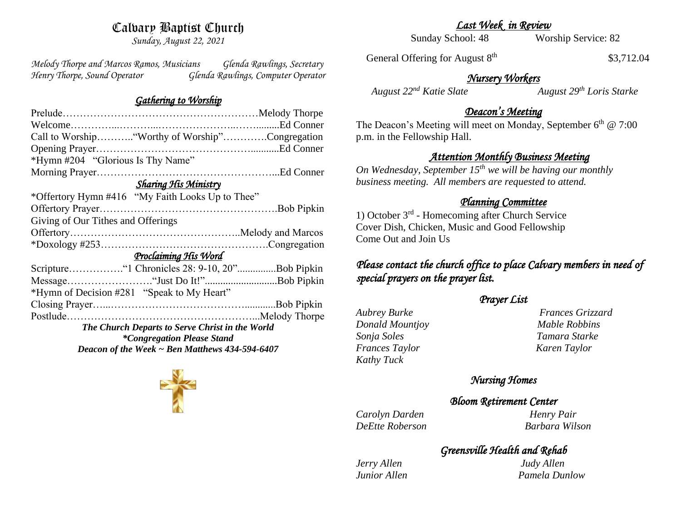# Calvary Baptist Church

*Sunday, August 22, 2021*

*Melody Thorpe and Marcos Ramos, Musicians Glenda Rawlings, Secretary Henry Thorpe, Sound Operator Glenda Rawlings, Computer Operator* 

#### *Gathering to Worship*

| Call to Worship "Worthy of Worship"Congregation  |
|--------------------------------------------------|
|                                                  |
| *Hymn #204 "Glorious Is Thy Name"                |
|                                                  |
| <b>Sharing His Ministry</b>                      |
| *Offertory Hymn #416 "My Faith Looks Up to Thee" |
|                                                  |
| Giving of Our Tithes and Offerings               |
|                                                  |
|                                                  |
| Proclaiming His Word                             |
|                                                  |
|                                                  |
| *Hymn of Decision #281 "Speak to My Heart"       |
|                                                  |
|                                                  |
| The Church Departs to Serve Christ in the World  |
| <i>*Congregation Please Stand</i>                |
| Deacon of the Week ~ Ben Matthews 434-594-6407   |

*Last Week in Review* 

Sunday School: 48 Worship Service: 82

General Offering for August 8<sup>th</sup>

\$3,712.04

# *Nursery Workers*

 *August 22nd Katie Slate August 29th Loris Starke* 

### *Deacon's Meeting*

The Deacon's Meeting will meet on Monday, September  $6<sup>th</sup>$  @ 7:00 p.m. in the Fellowship Hall.

## *Attention Monthly Business Meeting*

*On Wednesday, September 15th we will be having our monthly business meeting. All members are requested to attend.* 

#### *Planning Committee*

1) October 3rd - Homecoming after Church Service Cover Dish, Chicken, Music and Good Fellowship Come Out and Join Us

# *Please contact the church office to place Calvary members in need of special prayers on the prayer list.*

### *Prayer List*

*Donald Mountjoy Mable Robbins Sonja Soles Tamara Starke Frances Taylor Karen Taylor Kathy Tuck* 

*Aubrey Burke Frances Grizzard* 

## *Nursing Homes*

#### *Bloom Retirement Center*

*Carolyn Darden Henry Pair DeEtte Roberson Barbara Wilson*

# *Greensville Health and Rehab*

*Jerry Allen Judy Allen* 

*Junior Allen Pamela Dunlow*